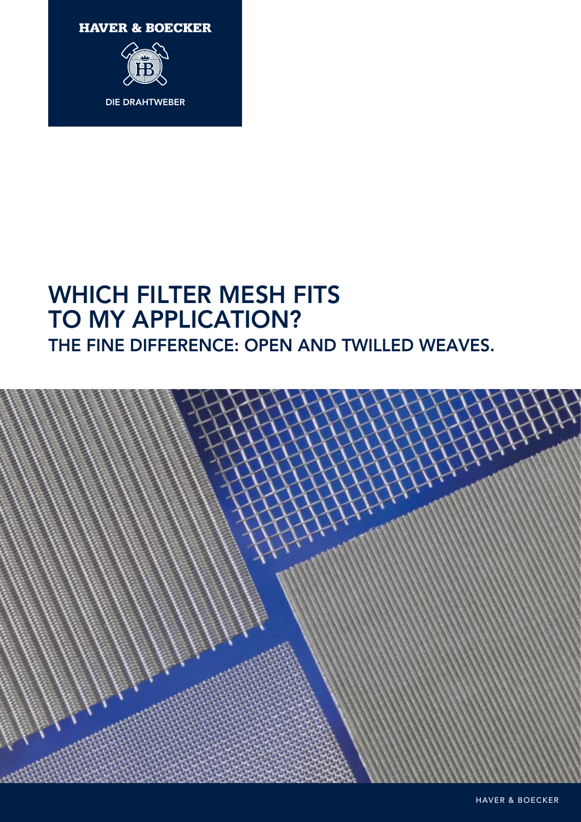**HAVER & BOECKER** 



# WHICH FILTER MESH FITS TO MY APPLICATION? THE FINE DIFFERENCE: OPEN AND TWILLED WEAVES.

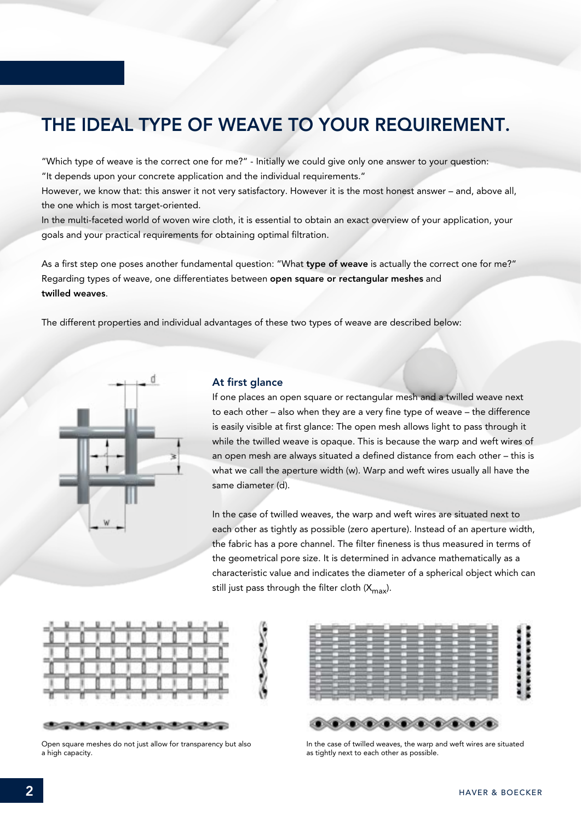## THE IDEAL TYPE OF WEAVE TO YOUR REQUIREMENT.

"Which type of weave is the correct one for me?" - Initially we could give only one answer to your question: "It depends upon your concrete application and the individual requirements."

However, we know that: this answer it not very satisfactory. However it is the most honest answer – and, above all, the one which is most target-oriented.

In the multi-faceted world of woven wire cloth, it is essential to obtain an exact overview of your application, your goals and your practical requirements for obtaining optimal filtration.

As a first step one poses another fundamental question: "What type of weave is actually the correct one for me?" Regarding types of weave, one differentiates between open square or rectangular meshes and twilled weaves.

The different properties and individual advantages of these two types of weave are described below:



#### At first glance

If one places an open square or rectangular mesh and a twilled weave next to each other – also when they are a very fine type of weave – the difference is easily visible at first glance: The open mesh allows light to pass through it while the twilled weave is opaque. This is because the warp and weft wires of an open mesh are always situated a defined distance from each other – this is what we call the aperture width (w). Warp and weft wires usually all have the same diameter (d).

In the case of twilled weaves, the warp and weft wires are situated next to each other as tightly as possible (zero aperture). Instead of an aperture width, the fabric has a pore channel. The filter fineness is thus measured in terms of the geometrical pore size. It is determined in advance mathematically as a characteristic value and indicates the diameter of a spherical object which can still just pass through the filter cloth  $(X_{\text{max}})$ .



Open square meshes do not just allow for transparency but also a high capacity.



In the case of twilled weaves, the warp and weft wires are situated as tightly next to each other as possible.